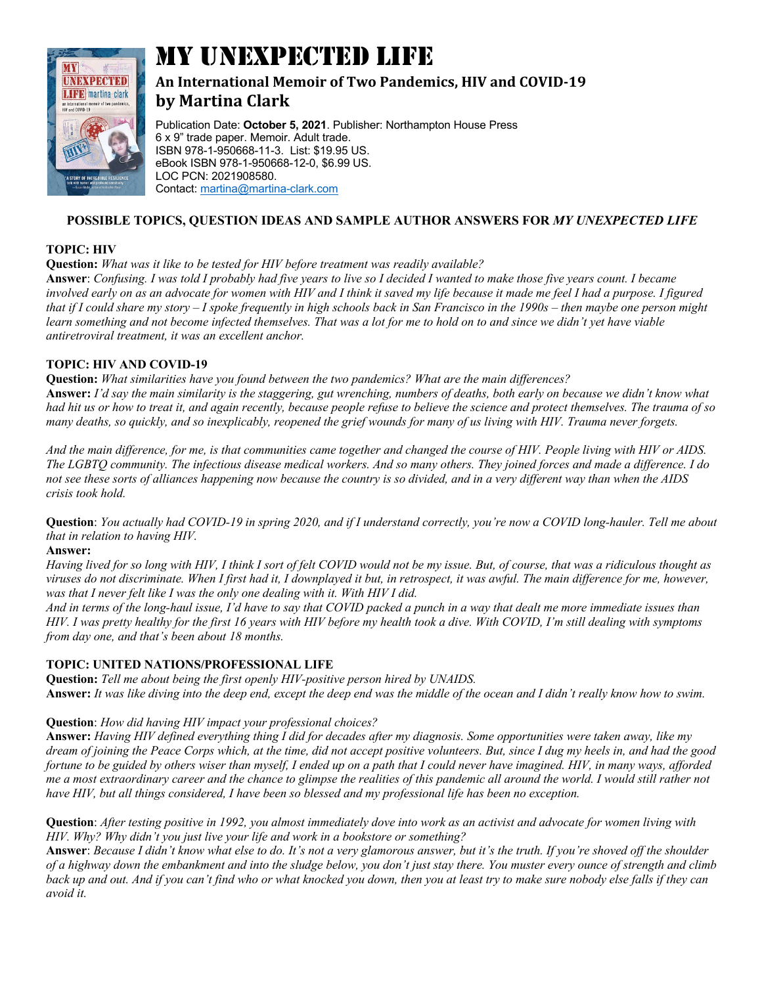

# MY UNEXPECTED LIFE

# An International Memoir of Two Pandemics, HIV and COVID-19 **by Martina Clark**

Publication Date: **October 5, 2021**. Publisher: Northampton House Press 6 x 9" trade paper. Memoir. Adult trade. ISBN 978-1-950668-11-3. List: \$19.95 US. eBook ISBN 978-1-950668-12-0, \$6.99 US. LOC PCN: 2021908580. Contact: martina@martina-clark.com

## **POSSIBLE TOPICS, QUESTION IDEAS AND SAMPLE AUTHOR ANSWERS FOR** *MY UNEXPECTED LIFE*

#### **TOPIC: HIV**

**Question:** *What was it like to be tested for HIV before treatment was readily available?*

**Answer**: *Confusing. I was told I probably had five years to live so I decided I wanted to make those five years count. I became involved early on as an advocate for women with HIV and I think it saved my life because it made me feel I had a purpose. I figured that if I could share my story – I spoke frequently in high schools back in San Francisco in the 1990s – then maybe one person might*  learn something and not become infected themselves. That was a lot for me to hold on to and since we didn't yet have viable *antiretroviral treatment, it was an excellent anchor.*

#### **TOPIC: HIV AND COVID-19**

**Question:** *What similarities have you found between the two pandemics? What are the main differences?* **Answer:** *I'd say the main similarity is the staggering, gut wrenching, numbers of deaths, both early on because we didn't know what had hit us or how to treat it, and again recently, because people refuse to believe the science and protect themselves. The trauma of so many deaths, so quickly, and so inexplicably, reopened the grief wounds for many of us living with HIV. Trauma never forgets.*

*And the main difference, for me, is that communities came together and changed the course of HIV. People living with HIV or AIDS. The LGBTQ community. The infectious disease medical workers. And so many others. They joined forces and made a difference. I do not see these sorts of alliances happening now because the country is so divided, and in a very different way than when the AIDS crisis took hold.*

**Question**: *You actually had COVID-19 in spring 2020, and if I understand correctly, you're now a COVID long-hauler. Tell me about that in relation to having HIV.*

#### **Answer:**

*Having lived for so long with HIV, I think I sort of felt COVID would not be my issue. But, of course, that was a ridiculous thought as*  viruses do not discriminate. When I first had it, I downplayed it but, in retrospect, it was awful. The main difference for me, however, was that I never felt like I was the only one dealing with it. With HIV I did.

*And in terms of the long-haul issue, I'd have to say that COVID packed a punch in a way that dealt me more immediate issues than HIV. I was pretty healthy for the first 16 years with HIV before my health took a dive. With COVID, I'm still dealing with symptoms from day one, and that's been about 18 months.* 

### **TOPIC: UNITED NATIONS/PROFESSIONAL LIFE**

**Question:** *Tell me about being the first openly HIV-positive person hired by UNAIDS.* **Answer:** *It was like diving into the deep end, except the deep end was the middle of the ocean and I didn't really know how to swim.*

#### **Question**: *How did having HIV impact your professional choices?*

**Answer:** *Having HIV defined everything thing I did for decades after my diagnosis. Some opportunities were taken away, like my dream of joining the Peace Corps which, at the time, did not accept positive volunteers. But, since I dug my heels in, and had the good fortune to be guided by others wiser than myself, I ended up on a path that I could never have imagined. HIV, in many ways, afforded me a most extraordinary career and the chance to glimpse the realities of this pandemic all around the world. I would still rather not have HIV, but all things considered, I have been so blessed and my professional life has been no exception.*

**Question**: *After testing positive in 1992, you almost immediately dove into work as an activist and advocate for women living with HIV. Why? Why didn't you just live your life and work in a bookstore or something?*

**Answer**: *Because I didn't know what else to do. It's not a very glamorous answer, but it's the truth. If you're shoved off the shoulder of a highway down the embankment and into the sludge below, you don't just stay there. You muster every ounce of strength and climb back up and out. And if you can't find who or what knocked you down, then you at least try to make sure nobody else falls if they can avoid it.*